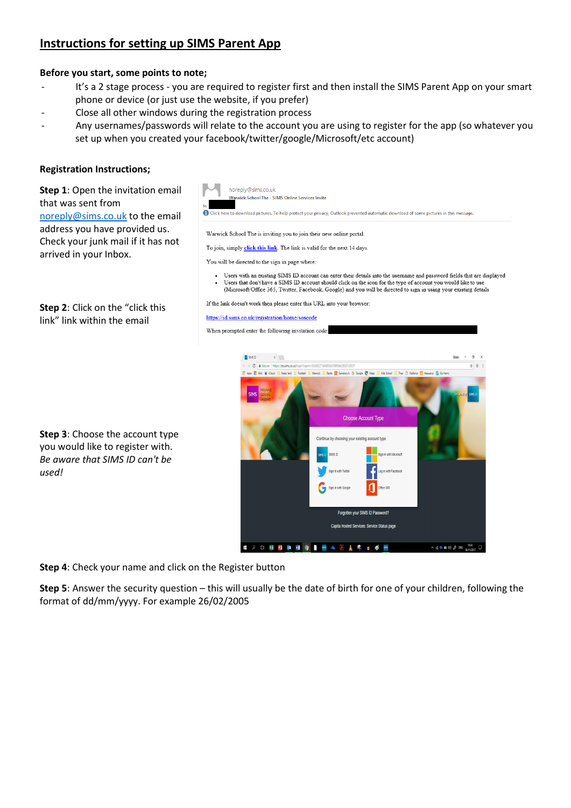# **Instructions for setting up SIMS Parent App**

## **Before you start, some points to note;**

- It's a 2 stage process you are required to register first and then install the SIMS Parent App on your smart phone or device (or just use the website, if you prefer)
- Close all other windows during the registration process
- Any usernames/passwords will relate to the account you are using to register for the app (so whatever you set up when you created your facebook/twitter/google/Microsoft/etc account)

### **Registration Instructions;**

# **Step 1**: Open the invitation email that was sent from [noreply@sims.co.uk](mailto:noreply@sims.co.uk) to the email address you have provided us. Check your junk mail if it has not arrived in your Inbox.

**Step 2**: Click on the "click this link" link within the email



Users with an existing SIMS ID account can enter their details into the username and password fields that are displayed Users that don't have a SIMS ID account should click on the icon for the type of account you would like to us (Microsoft/Office 365, Twitter, Facebook, Google) and you will be directed to sign in using your existing details

If the link doesn't work then please enter this URL into your browser:

#### https://id.sims.co.uk/registration/home/soscode



**Step 3**: Choose the account type you would like to register with. *Be aware that SIMS ID can't be used!*

**Step 4**: Check your name and click on the Register button

**Step 5**: Answer the security question – this will usually be the date of birth for one of your children, following the format of dd/mm/yyyy. For example 26/02/2005